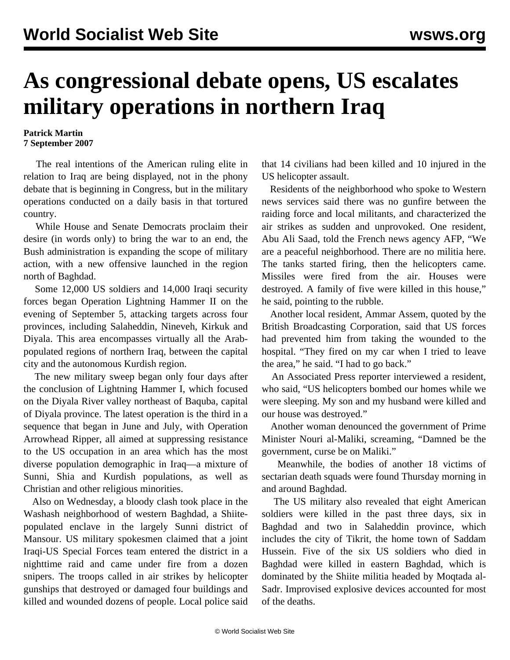## **As congressional debate opens, US escalates military operations in northern Iraq**

## **Patrick Martin 7 September 2007**

 The real intentions of the American ruling elite in relation to Iraq are being displayed, not in the phony debate that is beginning in Congress, but in the military operations conducted on a daily basis in that tortured country.

 While House and Senate Democrats proclaim their desire (in words only) to bring the war to an end, the Bush administration is expanding the scope of military action, with a new offensive launched in the region north of Baghdad.

 Some 12,000 US soldiers and 14,000 Iraqi security forces began Operation Lightning Hammer II on the evening of September 5, attacking targets across four provinces, including Salaheddin, Nineveh, Kirkuk and Diyala. This area encompasses virtually all the Arabpopulated regions of northern Iraq, between the capital city and the autonomous Kurdish region.

 The new military sweep began only four days after the conclusion of Lightning Hammer I, which focused on the Diyala River valley northeast of Baquba, capital of Diyala province. The latest operation is the third in a sequence that began in June and July, with Operation Arrowhead Ripper, all aimed at suppressing resistance to the US occupation in an area which has the most diverse population demographic in Iraq—a mixture of Sunni, Shia and Kurdish populations, as well as Christian and other religious minorities.

 Also on Wednesday, a bloody clash took place in the Washash neighborhood of western Baghdad, a Shiitepopulated enclave in the largely Sunni district of Mansour. US military spokesmen claimed that a joint Iraqi-US Special Forces team entered the district in a nighttime raid and came under fire from a dozen snipers. The troops called in air strikes by helicopter gunships that destroyed or damaged four buildings and killed and wounded dozens of people. Local police said

that 14 civilians had been killed and 10 injured in the US helicopter assault.

 Residents of the neighborhood who spoke to Western news services said there was no gunfire between the raiding force and local militants, and characterized the air strikes as sudden and unprovoked. One resident, Abu Ali Saad, told the French news agency AFP, "We are a peaceful neighborhood. There are no militia here. The tanks started firing, then the helicopters came. Missiles were fired from the air. Houses were destroyed. A family of five were killed in this house," he said, pointing to the rubble.

 Another local resident, Ammar Assem, quoted by the British Broadcasting Corporation, said that US forces had prevented him from taking the wounded to the hospital. "They fired on my car when I tried to leave the area," he said. "I had to go back."

 An Associated Press reporter interviewed a resident, who said, "US helicopters bombed our homes while we were sleeping. My son and my husband were killed and our house was destroyed."

 Another woman denounced the government of Prime Minister Nouri al-Maliki, screaming, "Damned be the government, curse be on Maliki."

 Meanwhile, the bodies of another 18 victims of sectarian death squads were found Thursday morning in and around Baghdad.

 The US military also revealed that eight American soldiers were killed in the past three days, six in Baghdad and two in Salaheddin province, which includes the city of Tikrit, the home town of Saddam Hussein. Five of the six US soldiers who died in Baghdad were killed in eastern Baghdad, which is dominated by the Shiite militia headed by Moqtada al-Sadr. Improvised explosive devices accounted for most of the deaths.